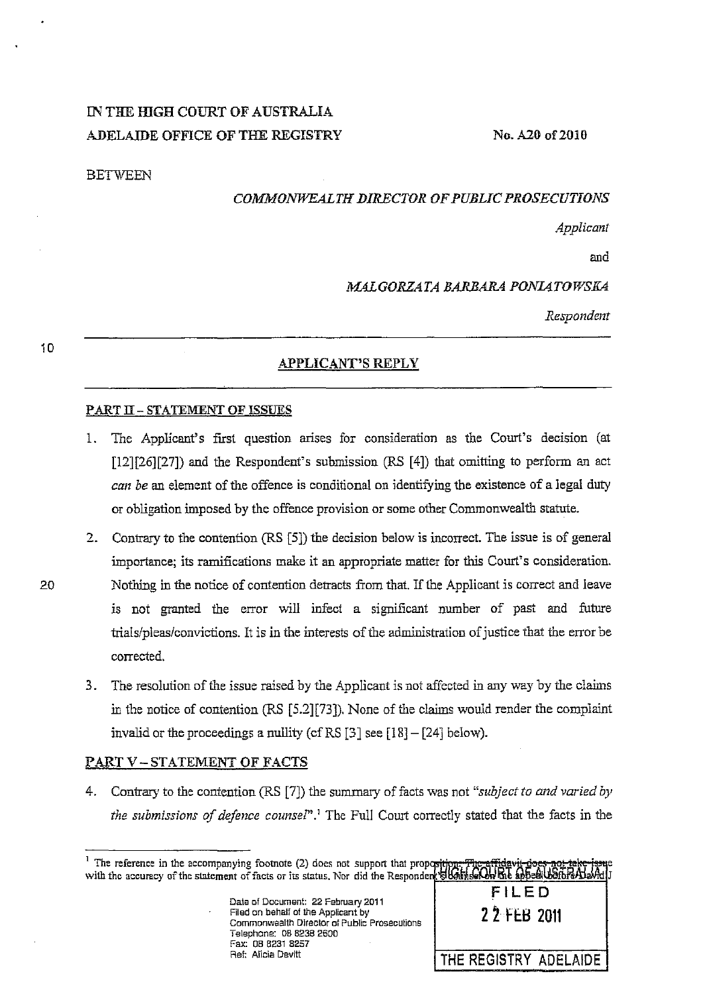# IN THE IDGH COURT OF AUSTRALIA ADELAIDE OFFICE OF THE REGISTRY

No. A20 of 2010

#### BETWEEN

## *COMMONWEALTH ])IRECTOR OF PUBLIC PROSECUTIONS*

*Applicant* 

and

## *MALGORZATA BAKBARA PONIATOWSKA*

*Respondent* 

## APPLICANT'S REPLY

#### PART II - STATEMENT OF ISSUES

- 1. The Applicant's first question arises for consideration as the Court's decision (at [12][26][27]) and the Respondent's submission (RS [4]) that omitting to perform an act *can be* an element of the offence is conditional on identifying the existence of a legal duty or obligation imposed by the offence provision or some other Commonwealth statute.
- 2. Contrary to the contention (RS [5]) the decision below is incorrect. The issue is of general importance; its ramifications make it an appropriate matter for this Court's consideration. 20 Nothing in the notice of contention detracts from that. If the Applicant is correct and leave is not granted the error will infect a significant number of past and future trialslpleaslconvictions. It is in the interests of the administration of justice that the error be corrected.
	- 3. The resoluiion of the issue raised by the Applicant is not affected in any way by the claims in the notice of contention (RS [5.2][73]). None of the claims would render the complaint invalid or the proceedings a nullity (cf RS  $[3]$  see  $[18] - [24]$  below).

#### PART V-STATEMENT OF FACTS

4. Contrary to the contention (RS [7]) the summary of facts was not *"subject to and varied by the submissions of defence counsel*".<sup>1</sup> The Full Court correctly stated that the facts in the

| Date of Document: 22 February 2011           |
|----------------------------------------------|
| Filed on behalf of the Applicant by          |
| Commonwealth Director of Public Prosecutions |
| Telephone: 08 8238 2600                      |
| Fax: 08 8231 8257                            |
| Ref. Alicia Devitt                           |
|                                              |



10

<sup>&</sup>lt;sup>1</sup> The reference in the accompanying footnote (2) does not support that propositive with the accuracy of the statement of facts or its status. Nor did the Responder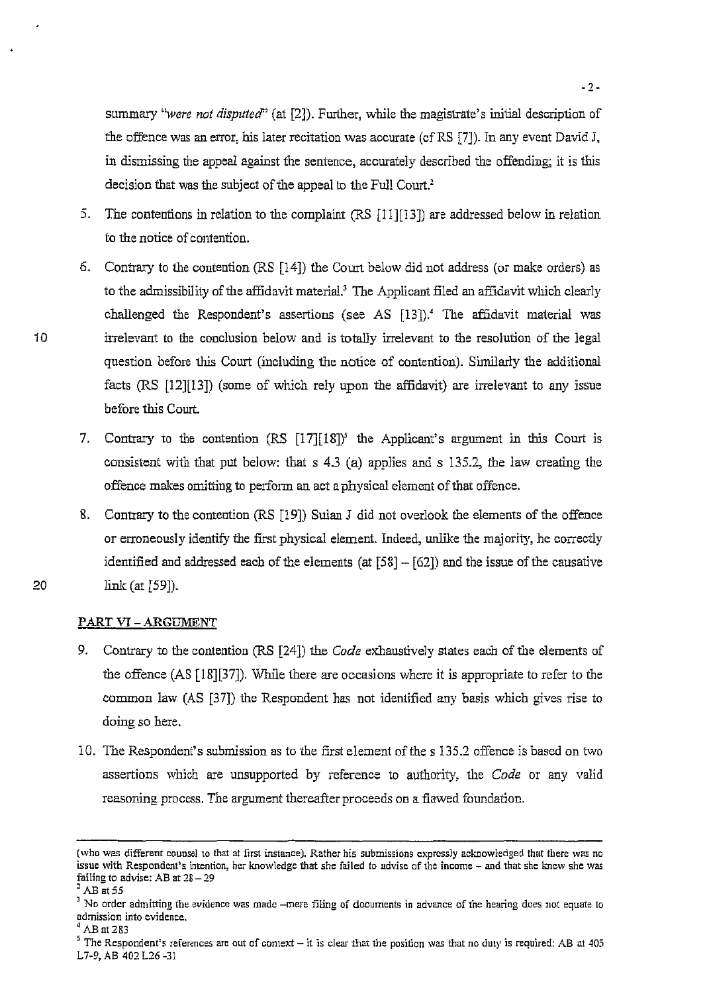summary *"were not disputed"* (at [2]). Further, while the magistrate's initial description of the offence was an error, his later recitation was accurate (cfRS [7]). In any event David J, in dismissing the appeal against the sentence, accurately described the offending; it is this decision that was the subject of the appeal to the Full Court.<sup>2</sup>

- 5. The contentions in relation to the complaint (RS [11][13]) are addressed below in relation to the notice of contention.
- 6. Contrary to the contention (RS [14]) the Court below did not address (or make orders) as to the admissibility of the affidavit material.' The Applicant filed an affidavit which clearly challenged the Respondent's assertions (see AS [13]).<sup>4</sup> The affidavit material was irrelevant to the conclusion below and is totally irrelevant to the resolution of the legal question before this Court (including the notice of contention). Similarly the additional facts (RS [12][13]) (some of which rely upon the affidavit) are irrelevant to any issue before this Court.
- 7. Contrary to the contention (RS [17][18])' the Applicant's argument in this Court is consistent with that put below: that s 4.3 (a) applies and s 135.2, the law creating the offence makes omitting to perform an act a physical element of that offence.
- 8. Contrary to the contention (RS [19]) Sulan J did not overlook the elements of the offence or erroneously identify the first physical element. Indeed, unlike the majority, he correctly identified and addressed each of the elements (at  $[58] - [62]$ ) and the issue of the causative link (at  $[59]$ ).

# PART VI - ARGUMENT

- 9. Contrary to the contention (RS [24]) the *Code* exhaustively states each of the elements of the offence  $(AS [18][37])$ . While there are occasions where it is appropriate to refer to the common law (AS [37]) the Respondent has not identified any basis which gives rise to doing so here.
- iO. The Respondent's submission as to the first element of the s 135.2 offence is based on two assertions which are unsupported by reference to authority, the *Code* or any valid reasoning process. The argument thereafter proceeds on a flawed foundation.

20

**<sup>(</sup>who was different counsel to that at first instance), Rather his submissions expressly acknowledged that there was no issue with Respondent's intention, her knowledge that she failed to advise of the income - and that she knew she was**  failing to advise: AB at  $28 - 29$ <br><sup>2</sup> AB at 55

<sup>&</sup>lt;sup>3</sup> No order admitting the evidence was made -mere filing of documents in advance of the hearing does not equate to **admission into evidence.** 

**<sup>4</sup> AB at283** 

<sup>&</sup>lt;sup>5</sup> The Respondent's references are out of context – it is clear that the position was that no duty is required: AB at 405 L7-9, AB 402 L26 -3J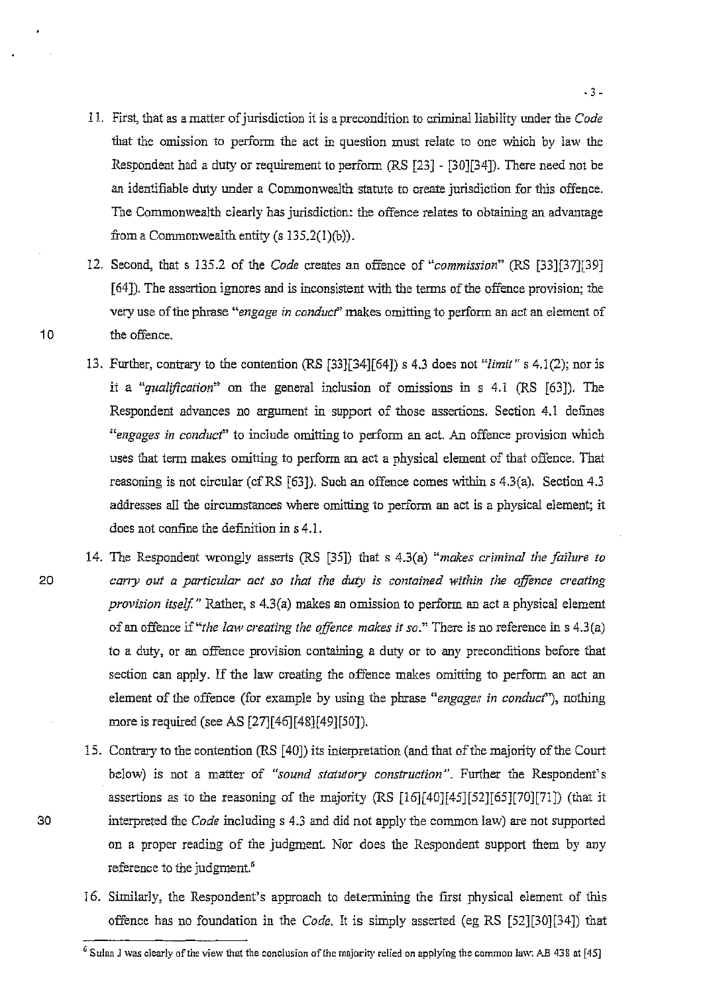- 11. First, that as a matter of jurisdiction it is a precondition to criminal liability under the *Code* that the omission to perform the act in question must relate to one which by Jaw the Respondent had a duty or requirement to perform (RS [23] - [30][34]). There need not be an identifiable duty under a Commonwealth statute to create jurisdiction for this offence. The Commonwealth clearly has jurisdiction: the offence relates to obtaining an advantage from a Commonwealth entity (s 135.2(l)(b).
- 12. Second, that s l35.2 of the *Code* creates an offence of *"commission"* (RS [33][37][39] [64]). The assertion ignores and is inconsistent with the terms of the offence provision; the very use of the phrase "*engage in conduct*" makes omitting to perform an act an element of 10 the offence.
	- 13. Further, contrary to the contention (RS [33][34][64]) s 4.3 does not *"limit"* s 4.1(2); nor is it a *"qualificaiion"* on the general inclusion of omissions in s 4.1 (RS [63]). The Respondent advances no argument in support of those assertions. Section 4.1 defines *"engages in conduct'* to include omitting to perform an act. An offence provision which uses that term makes omitting to perform an act a physical element of that offence. That reasoning is not circular (cfRS [63]). Such an offence comes within s 4.3(a). Section 4.3 addresses all the circumstances where omitting to perform an act is a physical element; it does not confine the definition in s 4.1.
- 14. The Respondent wrongly asserts (RS [35]) that s 4.3(a) *"makes criminal the failure to*  20 *carry out a particular act so that the duty is contained within the offence creating provision itself."* Rather, s 4.3(a) makes an omission to perform an act a physical element of an offence *if"the law creating the offence makes* it *so."* There is no reference in s 4.3(a) to a duty, or an offence provision containing a duty or to any preconditions before that section can apply. If the law creating the offence makes omitting to perform an act an element of the offence (for example by using the phrase "engages in conduct"), nothing more is required (see AS [27][46][48][49][50]).
- 15. Contrary to the contention (RS [40]) its interpretation (and that of the majority of the Court below) is not a matter of "sound statutory construction". Further the Respondent's assertions as to the reasoning of the majority (RS [16][40J[45J[52J[65J[70J[71]) (that it 30 interpreted the *Code* including s 4.3 and did not apply the common law) are not supported on a proper reading of the judgment. Nor does the Respondent support them by any reference to the judgment.<sup>6</sup>
	- 16. Similarly, the Respondent's approach to determining the first physical element of this offence has no foundation in the *Code.* It is simply asserted (eg RS [52][30][34]) that

G **Sulan J was clearly** of the **view that the conclusion** of the **majority relied on applying the common law: AB 438 at [45]**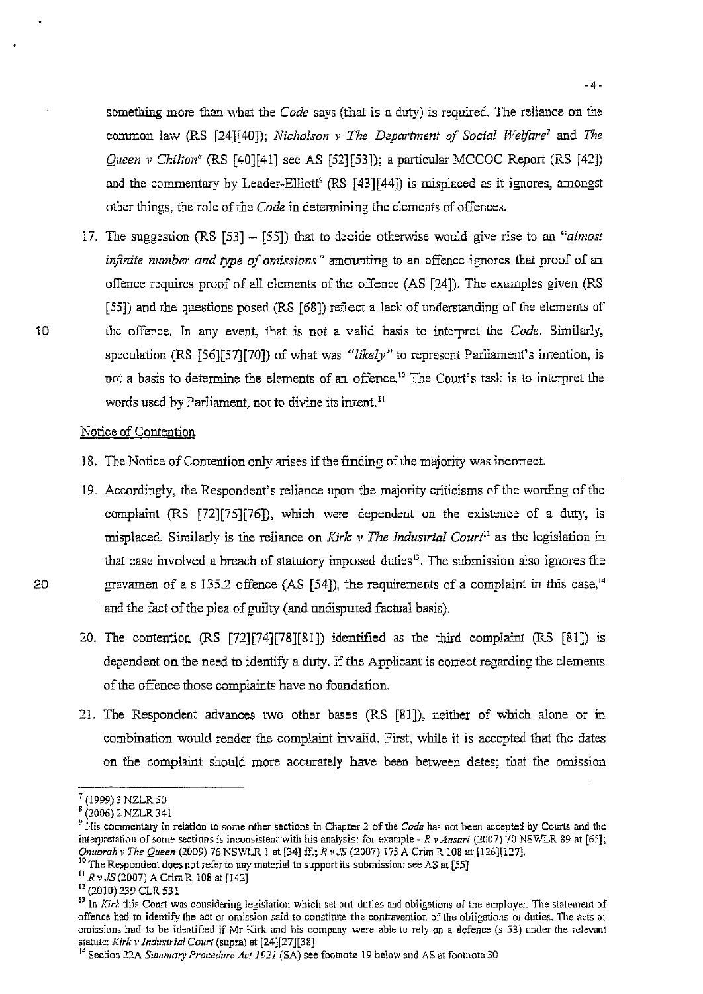something more than what the *Code* says (that is a duty) is required. The reliance on the common law (RS [24J[40J); *Nicholson v* The *Department of Social Welfare'* and *The Queen* v *Chilton8* (RS [40J[41] see AS [52][53]); a particular MCCOC Report (RS [42J) and the commentary by Leader-Elliott<sup>9</sup> (RS [43][44]) is misplaced as it ignores, amongst other things, the role of the *Code* in determining the elements of offences.

17. The suggestion (RS [53] - [551) that to decide otherwise would give rise to an *"almost infinite number and type of omissions"* amounting to an offence ignores that proof of an offence requires proof of all elements of the offence (AS [24]). The examples given (RS [55]) and the questions posed (RS [68]) reflect a lack of understanding of the elements of 10 the offence. In any event, that is not a valid basis to interpret the *Code.* Similarly, speculation (RS [56][57][70]) of what was *"likely"* to represent Parliament's intention, is not a basis to determine the elements of an offence." The Court's task is to interpret the words used by Parliament, not to divine its intent.<sup>11</sup>

## Notice of Contention

- 18. The Notice of Contention only arises if the finding of the majority was incorrect.
- 19. Accordingly, the Respondent's reliance upon the majority criticisms of the wording of the complaint (RS [72][75][76]), which were dependent on the existence of a duty, is misplaced. Similarly is the reliance on *Kirk v The Industrial Court*<sup>12</sup> as the legislation in that case involved a breach of statutory imposed duties 13. The submission also ignores the 20 gravamen of a s 135.2 offence  $(AS [54])$ , the requirements of a complaint in this case,<sup>14</sup> and the fact of the plea of guilty (and undisputed factual basis).
	- 20. The contention (RS [72][74][78J[81]) identified as the third complaint (RS [81]) IS dependent on the need to identify a duty. If the Applicant is correct regarding the elements of the offence those complaints have no foundation.
	- 21. The Respondent advances two other bases (RS [81]), neither of which alone or in combination would render the complaint invalid. First, while it is accepted that the dates on the complaint should more accurately have been between dates; that the omission

<sup>7 (1999) 3</sup> NZLR 50

 $^{8}$ (2006) 2 NZLR 341

**<sup>9</sup> His commentary in relation to some other sections in Chapter 2 of the** *Code* **has not been accepted by Courts and the interpretation of some sections is inconsistent with his analysis: for example -** *R v Ansari* **(2007) 70 NSWLR 89 at [65];** *Onl/oroh* l' *The Queen* (2009) 76 NSViLR I at [34J ff.; *R"* JS (2007) 175 A Crirn R J08 at [126][127].

<sup>&</sup>lt;sup>10</sup> The Respondent does not refer to any material to support its submission: see AS at [55]

 $11$  R v. JS (2007) A Crim R 108 at [142]

I' (2010) 239 CLR 531

**<sup>13</sup>In Kirk this Court was considering legislation which set out duties and obligations** of the **employer. The statement of offence had to identify the act or omission said to constirute the contravention of the obligations or duties. The acts or omissions had to be identified if Mr Kirk and his company were able to rely on a defence (s 53) under the relevant**  statute: *Kirk" lndustr'ial Court* (supra) at [24][27][38J

<sup>&</sup>lt;sup>1</sup> Section 22A *Summary Procedure Act 1921* (SA) see footnote 19 below and AS at footnote 30